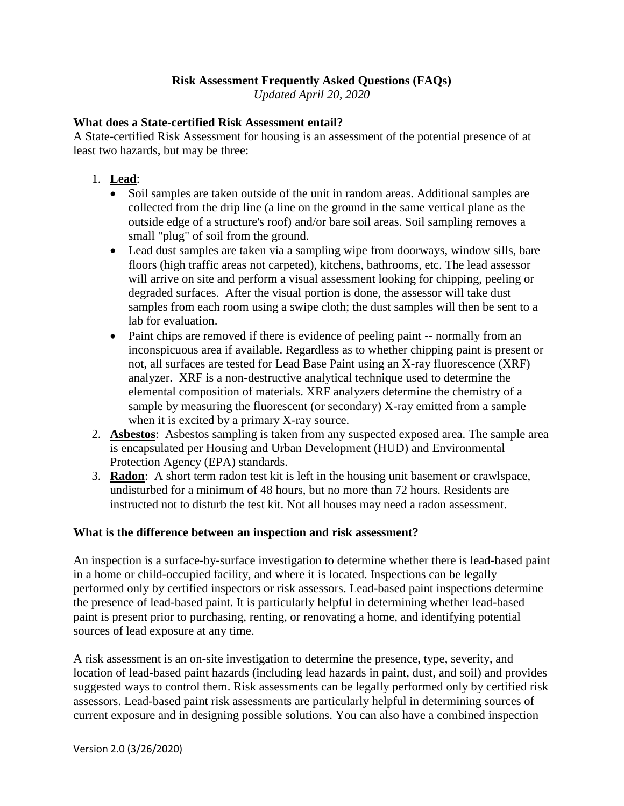# **Risk Assessment Frequently Asked Questions (FAQs)**

*Updated April 20, 2020*

### **What does a State-certified Risk Assessment entail?**

A State-certified Risk Assessment for housing is an assessment of the potential presence of at least two hazards, but may be three:

- 1. **Lead**:
	- Soil samples are taken outside of the unit in random areas. Additional samples are collected from the drip line (a line on the ground in the same vertical plane as the outside edge of a structure's roof) and/or bare soil areas. Soil sampling removes a small "plug" of soil from the ground.
	- Lead dust samples are taken via a sampling wipe from doorways, window sills, bare floors (high traffic areas not carpeted), kitchens, bathrooms, etc. The lead assessor will arrive on site and perform a visual assessment looking for chipping, peeling or degraded surfaces. After the visual portion is done, the assessor will take dust samples from each room using a swipe cloth; the dust samples will then be sent to a lab for evaluation.
	- Paint chips are removed if there is evidence of peeling paint -- normally from an inconspicuous area if available. Regardless as to whether chipping paint is present or not, all surfaces are tested for Lead Base Paint using an X-ray fluorescence (XRF) analyzer. XRF is a non-destructive analytical technique used to determine the elemental composition of materials. XRF analyzers determine the chemistry of a sample by measuring the fluorescent (or secondary) X-ray emitted from a sample when it is excited by a primary X-ray source.
- 2. **Asbestos**: Asbestos sampling is taken from any suspected exposed area. The sample area is encapsulated per Housing and Urban Development (HUD) and Environmental Protection Agency (EPA) standards.
- 3. **Radon**: A short term radon test kit is left in the housing unit basement or crawlspace, undisturbed for a minimum of 48 hours, but no more than 72 hours. Residents are instructed not to disturb the test kit. Not all houses may need a radon assessment.

### **What is the difference between an inspection and risk assessment?**

An inspection is a surface-by-surface investigation to determine whether there is lead-based paint in a home or child-occupied facility, and where it is located. Inspections can be legally performed only by certified inspectors or risk assessors. Lead-based paint inspections determine the presence of lead-based paint. It is particularly helpful in determining whether lead-based paint is present prior to purchasing, renting, or renovating a home, and identifying potential sources of lead exposure at any time.

A risk assessment is an on-site investigation to determine the presence, type, severity, and location of lead-based paint hazards (including lead hazards in paint, dust, and soil) and provides suggested ways to control them. Risk assessments can be legally performed only by certified risk assessors. Lead-based paint risk assessments are particularly helpful in determining sources of current exposure and in designing possible solutions. You can also have a combined inspection